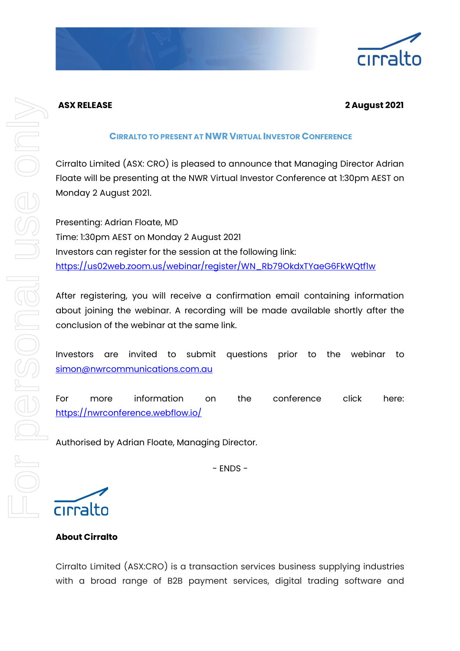# **ASX RELEASE 2 August 2021**

### **CIRRALTO TO PRESENT AT NWR VIRTUAL INVESTOR CONFERENCE**

Cirralto Limited (ASX: CRO) is pleased to announce that Managing Director Adrian Floate will be presenting at the NWR Virtual Investor Conference at 1:30pm AEST on Monday 2 August 2021.

Presenting: Adrian Floate, MD Time: 1:30pm AEST on Monday 2 August 2021 Investors can register for the session at the following link: [https://us02web.zoom.us/webinar/register/WN\\_Rb79OkdxTYaeG6FkWQtf1w](https://us02web.zoom.us/webinar/register/WN_Rb79OkdxTYaeG6FkWQtf1w)

After registering, you will receive a confirmation email containing information about joining the webinar. A recording will be made available shortly after the conclusion of the webinar at the same link.

Investors are invited to submit questions prior to the webinar to [simon@nwrcommunications.com.au](mailto:simon@nwrcommunications.com.au)

For more information on the conference click here: <https://nwrconference.webflow.io/>

Authorised by Adrian Floate, Managing Director.

- ENDS -

cirralto

# **About Cirralto**

Cirralto Limited (ASX:CRO) is a transaction services business supplying industries with a broad range of B2B payment services, digital trading software and